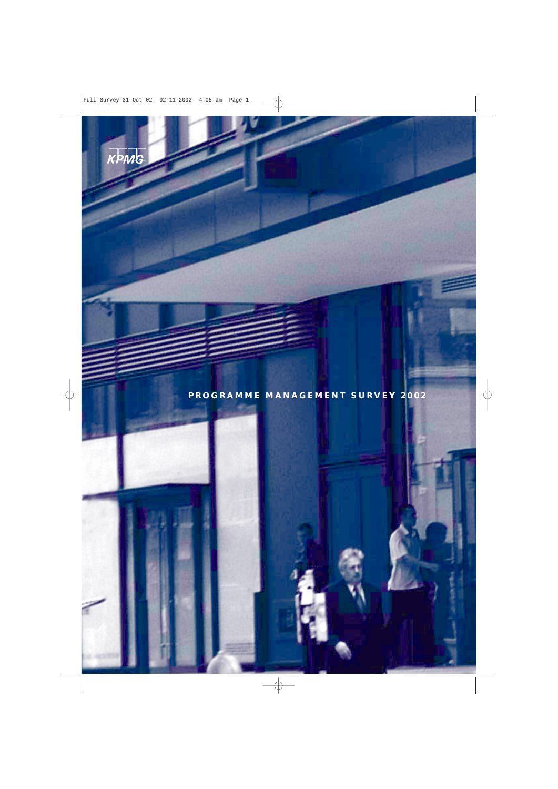

**PROGRAMME MANAGEMENT SURVEY 2002**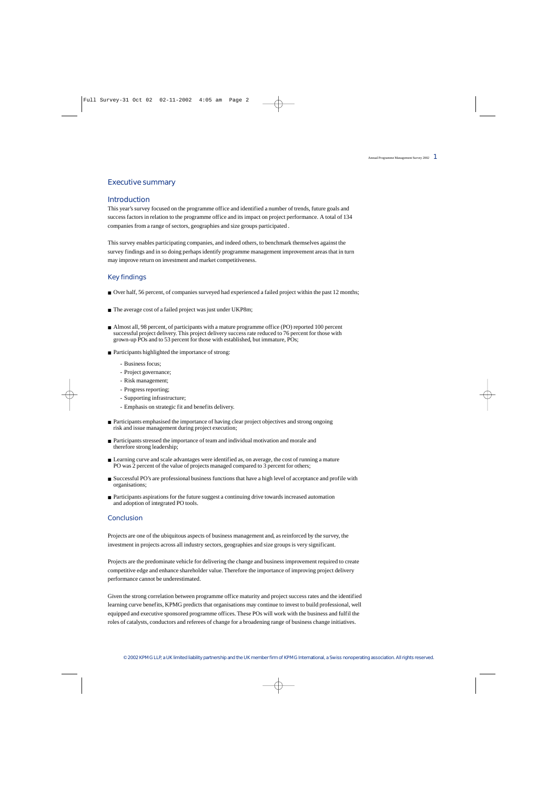## Executive summary

### Introduction

This year's survey focused on the programme office and identified a number of trends, future goals and success factors in relation to the programme office and its impact on project performance. A total of 134 companies from a range of sectors, geographies and size groups participated .

This survey enables participating companies, and indeed others, to benchmark themselves against the survey findings and in so doing perhaps identify programme management improvement areas that in turn may improve return on investment and market competitiveness.

#### Key findings

- Over half, 56 percent, of companies surveyed had experienced a failed project within the past 12 months;
- The average cost of a failed project was just under UKP8m;
- Almost all, 98 percent, of participants with a mature programme office (PO) reported 100 percent successful project delivery. This project delivery success rate reduced to 76 percent for those with grown-up POs and to 53 percent for those with established, but immature, POs;
- Participants highlighted the importance of strong:
	- Business focus;
	- Project governance;
	- Risk management;
	- Progress reporting;
	- Supporting infrastructure;
	- Emphasis on strategic fit and benefits delivery.
- Participants emphasised the importance of having clear project objectives and strong ongoing risk and issue management during project execution;
- Participants stressed the importance of team and individual motivation and morale and therefore strong leadership;
- Learning curve and scale advantages were identified as, on average, the cost of running a mature PO was 2 percent of the value of projects managed compared to 3 percent for others;
- Successful PO's are professional business functions that have a high level of acceptance and profile with organisations;
- Participants aspirations for the future suggest a continuing drive towards increased automation and adoption of integrated PO tools.

#### Conclusion

Projects are one of the ubiquitous aspects of business management and, as reinforced by the survey, the investment in projects across all industry sectors, geographies and size groups is very significant.

Projects are the predominate vehicle for delivering the change and business improvement required to create competitive edge and enhance shareholder value. Therefore the importance of improving project delivery performance cannot be underestimated.

Given the strong correlation between programme office maturity and project success rates and the identified learning curve benefits, KPMG predicts that organisations may continue to invest to build professional, well equipped and executive sponsored programme offices. These POs will work with the business and fulfil the roles of catalysts, conductors and referees of change for a broadening range of business change initiatives.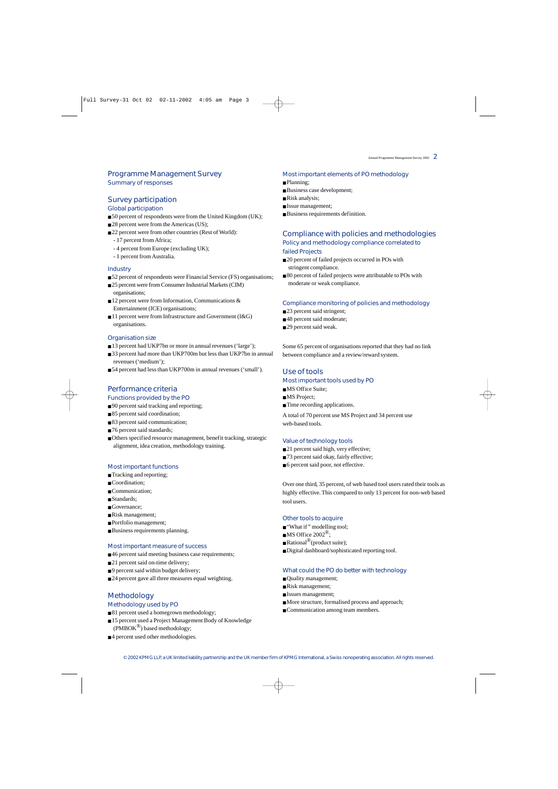## *Programme Management Survey* Summary of responses

## *Survey participation*

Global participation

- 50 percent of respondents were from the United Kingdom (UK);
- 28 percent were from the Americas (US);
- 22 percent were from other countries (Rest of World):
	- 17 percent from Africa;
	- 4 percent from Europe (excluding UK);
	- 1 percent from Australia.

#### **Industry**

- 52 percent of respondents were Financial Service (FS) organisations;
- 25 percent were from Consumer Industrial Markets (CIM) organisations;
- 12 percent were from Information, Communications & Entertainment (ICE) organisations;
- 11 percent were from Infrastructure and Government (I&G) organisations.

#### Organisation size

- 13 percent had UKP7bn or more in annual revenues ('large');
- 33 percent had more than UKP700m but less than UKP7bn in annual revenues ('medium');
- 54 percent had less than UKP700m in annual revenues ('small').

## *Performance criteria*

### Functions provided by the PO

- 90 percent said tracking and reporting;
- 85 percent said coordination;
- 83 percent said communication;
- 76 percent said standards;
- Others specified resource management, benefit tracking, strategic alignment, idea creation, methodology training.

#### Most important functions

- Tracking and reporting;
- Coordination;
- Communication:
- Standards:
- Governance:
- Risk management;
- Portfolio management;
- Business requirements planning.

#### Most important measure of success

- 46 percent said meeting business case requirements;
- 21 percent said on-time delivery;
- 9 percent said within budget delivery;
- 24 percent gave all three measures equal weighting.

## *Methodology*

## Methodology used by PO

- 81 percent used a homegrown methodology;
- 15 percent used a Project Management Body of Knowledge  $(PMBOK^{\circledR})$  based methodology:
- 4 percent used other methodologies.

#### Most important elements of PO methodology

- Planning:
- Business case development;
- Risk analysis;
- Issue management;
- Business requirements definition.

## *Compliance with policies and methodologies* Policy and methodology compliance correlated to failed Projects

- 20 percent of failed projects occurred in POs with stringent compliance.
- 80 percent of failed projects were attributable to POs with moderate or weak compliance.

#### Compliance monitoring of policies and methodology

- 23 percent said stringent;
- 48 percent said moderate;
- 29 percent said weak.

Some 65 percent of organisations reported that they had no link between compliance and a review/reward system.

## *Use of tools*

### Most important tools used by PO

- MS Office Suite;
- MS Project:
- Time recording applications.

A total of 70 percent use MS Project and 34 percent use web-based tools.

#### Value of technology tools

- 21 percent said high, very effective;
- 73 percent said okay, fairly effective;
- 6 percent said poor, not effective.

Over one third, 35 percent, of web based tool users rated their tools as highly effective. This compared to only 13 percent for non-web based tool users.

#### Other tools to acquire

- "What if" modelling tool;
- $\blacksquare$  MS Office 2002<sup>®</sup>:
- $\blacksquare$  Rational<sup>®</sup>(product suite);
- Digital dashboard/sophisticated reporting tool.

#### What could the PO do better with technology

- Quality management;
- Risk management;
- Issues management;
- More structure, formalised process and approach;
- Communication among team members.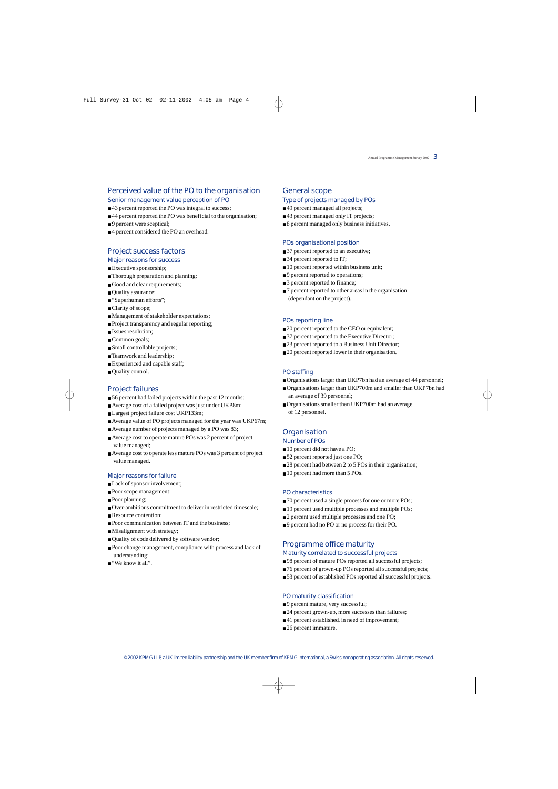### *Perceived value of the PO to the organisation*

### Senior management value perception of PO

- 43 percent reported the PO was integral to success:
- 44 percent reported the PO was beneficial to the organisation:
- 9 percent were sceptical:
- 4 percent considered the PO an overhead.

## *Project success factors*

## Major reasons for success

- Executive sponsorship;
- Thorough preparation and planning;
- Good and clear requirements;
- Quality assurance;
- "Superhuman efforts";
- Clarity of scope;
- Management of stakeholder expectations;
- Project transparency and regular reporting;
- Issues resolution;
- Common goals;
- Small controllable projects;
- Teamwork and leadership;
- Experienced and capable staff;
- Quality control.

## *Project failures*

- 56 percent had failed projects within the past 12 months;
- Average cost of a failed project was just under UKP8m;
- Largest project failure cost UKP133m;
- Average value of PO projects managed for the year was UKP67m;
- Average number of projects managed by a PO was 83;
- Average cost to operate mature POs was 2 percent of project value managed;
- Average cost to operate less mature POs was 3 percent of project value managed.

### Major reasons for failure

- Lack of sponsor involvement;
- Poor scope management;
- Poor planning;
- Over-ambitious commitment to deliver in restricted timescale;
- Resource contention;
- Poor communication between IT and the business;
- Misalignment with strategy;
- Quality of code delivered by software vendor;
- Poor change management, compliance with process and lack of understanding;
- $\blacksquare$  "We know it all".

### *General scope*

#### Type of projects managed by POs

- 49 percent managed all projects:
- 43 percent managed only IT projects:
- 8 percent managed only business initiatives.

#### POs organisational position

- 37 percent reported to an executive;
- 34 percent reported to IT;
- 10 percent reported within business unit;
- 9 percent reported to operations;
- 3 percent reported to finance;
- 7 percent reported to other areas in the organisation (dependant on the project).

#### POs reporting line

- 20 percent reported to the CEO or equivalent;
- 37 percent reported to the Executive Director;
- 23 percent reported to a Business Unit Director;
- 20 percent reported lower in their organisation.

#### PO staffing

- Organisations larger than UKP7bn had an average of 44 personnel;
- Organisations larger than UKP700m and smaller than UKP7bn had an average of 39 personnel;
- Organisations smaller than UKP700m had an average of 12 personnel.

## *Organisation*

## Number of POs

- 10 percent did not have a PO;
- 52 percent reported just one PO;
- 28 percent had between 2 to 5 POs in their organisation;
- 10 percent had more than 5 POs.

#### PO characteristics

- 70 percent used a single process for one or more POs;
- 19 percent used multiple processes and multiple POs;
- 2 percent used multiple processes and one PO;
- 9 percent had no PO or no process for their PO.

## *Programme office maturity*

Maturity correlated to successful projects

- 98 percent of mature POs reported all successful projects;
- 76 percent of grown-up POs reported all successful projects:
	- 53 percent of established POs reported all successful projects.

#### PO maturity classification

- 9 percent mature, very successful;
- 24 percent grown-up, more successes than failures;
- 41 percent established, in need of improvement;
- 26 percent immature.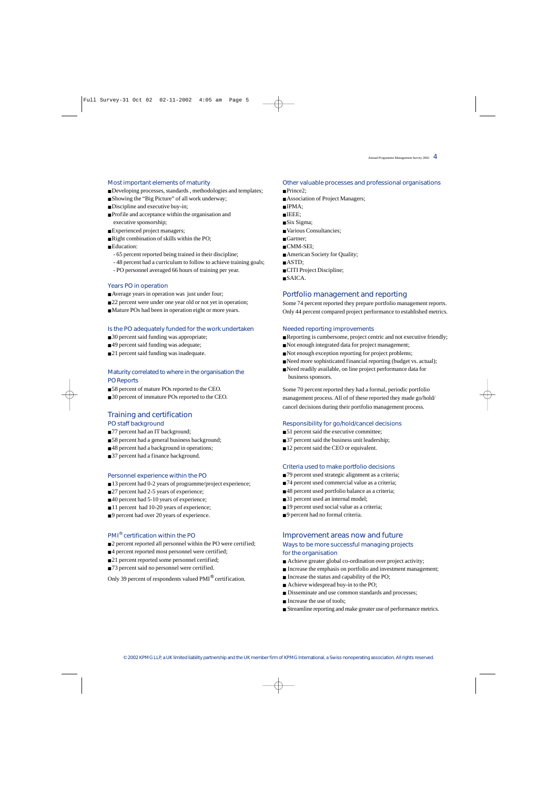#### Most important elements of maturity

- Developing processes, standards , methodologies and templates;
- Showing the "Big Picture" of all work underway;
- Discipline and executive buy-in;
- Profile and acceptance within the organisation and executive sponsorship;
- Experienced project managers;
- Right combination of skills within the PO;
- Education:
	- 65 percent reported being trained in their discipline;
	- 48 percent had a curriculum to follow to achieve training goals;
	- PO personnel averaged 66 hours of training per year.

#### Years PO in operation

- Average years in operation was just under four;
- 22 percent were under one year old or not yet in operation;
- Mature POs had been in operation eight or more years.

#### Is the PO adequately funded for the work undertaken

- 30 percent said funding was appropriate;
- 49 percent said funding was adequate;
- 21 percent said funding was inadequate.

### Maturity correlated to where in the organisation the PO Reports

- 58 percent of mature POs reported to the CEO.
- 30 percent of immature POs reported to the CEO.

## *Training and certification*

### PO staff background

- 77 percent had an IT background;
- 58 percent had a general business background;
- 48 percent had a background in operations;
- 37 percent had a finance background.

#### Personnel experience within the PO

- 13 percent had 0-2 years of programme/project experience;
- 27 percent had 2-5 years of experience;
- 40 percent had 5-10 years of experience;
- 11 percent had 10-20 years of experience;
- 9 percent had over 20 years of experience.

### PMI® certification within the PO

- 2 percent reported all personnel within the PO were certified;
- 4 percent reported most personnel were certified;
- 21 percent reported some personnel certified;
- 73 percent said no personnel were certified.

Only 39 percent of respondents valued PMI® certification.

#### Other valuable processes and professional organisations

- Prince2;
- Association of Project Managers;
- IPMA;
- IEEE;
- Six Sigma;
- Various Consultancies:
- Gartner:
- CMM-SEI:
- American Society for Quality;
- ASTD;
- CITI Project Discipline;
- SAICA.

## *Portfolio management and reporting*

Some 74 percent reported they prepare portfolio management reports. Only 44 percent compared project performance to established metrics.

#### Needed reporting improvements

- Reporting is cumbersome, project centric and not executive friendly;
- Not enough integrated data for project management;
- Not enough exception reporting for project problems;
- Need more sophisticated financial reporting (budget vs. actual):
- Need readily available, on line project performance data for business sponsors.

Some 70 percent reported they had a formal, periodic portfolio management process. All of of these reported they made go/hold/ cancel decisions during their portfolio management process.

#### Responsibility for go/hold/cancel decisions

- 51 percent said the executive committee;
- 37 percent said the business unit leadership;
- 12 percent said the CEO or equivalent.

#### Criteria used to make portfolio decisions

- 79 percent used strategic alignment as a criteria;
- 74 percent used commercial value as a criteria;
- 48 percent used portfolio balance as a criteria;
- 31 percent used an internal model;
- 19 percent used social value as a criteria;
- 9 percent had no formal criteria.

### *Improvement areas now and future* Ways to be more successful managing projects for the organisation

- Achieve greater global co-ordination over project activity;
- Increase the emphasis on portfolio and investment management:
- Increase the status and capability of the PO:
- Achieve widespread buy-in to the PO;
- Disseminate and use common standards and processes:
- Increase the use of tools:
- Streamline reporting and make greater use of performance metrics.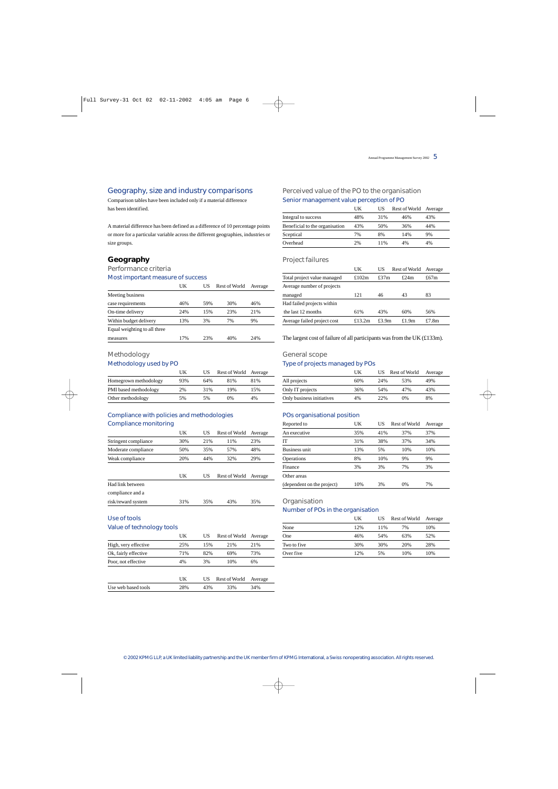## Geography, size and industry comparisons

Comparison tables have been included only if a material difference has been identified.

A material difference has been defined as a difference of 10 percentage points or more for a particular variable across the different geographies, industries or size groups.

## *Geography*

## Performance criteria

#### Most important measure of success

|                              | UK  | US  | <b>Rest of World</b> | Average |
|------------------------------|-----|-----|----------------------|---------|
| Meeting business             |     |     |                      |         |
| case requirements            | 46% | 59% | 30%                  | 46%     |
| On-time delivery             | 24% | 15% | 23%                  | 21%     |
| Within budget delivery       | 13% | 3%  | 7%                   | 9%      |
| Equal weighting to all three |     |     |                      |         |
| measures                     | 17% | 23% | 40%                  | 24%     |

## Methodology

### Methodology used by PO

|                       | UK  | US  | Rest of World Average |     |  |
|-----------------------|-----|-----|-----------------------|-----|--|
| Homegrown methodology | 93% | 64% | 81%                   | 81% |  |
| PMI based methodology | 2%  | 31% | 19%                   | 15% |  |
| Other methodology     | 5%  | 5%  | 0%                    | 4%  |  |

## Compliance with policies and methodologies Compliance monitoring

|                      | UK  | US  | <b>Rest of World</b> | Average |
|----------------------|-----|-----|----------------------|---------|
| Stringent compliance | 30% | 21% | 11%                  | 23%     |
| Moderate compliance  | 50% | 35% | 57%                  | 48%     |
| Weak compliance      | 20% | 44% | 32%                  | 29%     |
|                      |     |     |                      |         |
|                      | UK  | US  | Rest of World        | Average |
| Had link between     |     |     |                      |         |
| compliance and a     |     |     |                      |         |
| risk/reward system   | 31% | 35% | 43%                  | 35%     |
|                      |     |     |                      |         |

# Use of tools

| Value of technology tools |  |
|---------------------------|--|
|---------------------------|--|

|                      | UK  | US  | Rest of World        | Average |  |
|----------------------|-----|-----|----------------------|---------|--|
| High, very effective | 25% | 15% | 21%                  | 21%     |  |
| Ok, fairly effective | 71% | 82% | 69%                  | 73%     |  |
| Poor, not effective  | 4%  | 3%  | 10%                  | 6%      |  |
|                      | UK  | US  | <b>Rest of World</b> | Average |  |
| Use web based tools  | 28% | 43% | 33%                  | 34%     |  |
|                      |     |     |                      |         |  |

## Perceived value of the PO to the organisation Senior management value perception of PO

|                                | UK  | US  | Rest of World Average |     |
|--------------------------------|-----|-----|-----------------------|-----|
| Integral to success            | 48% | 31% | 46%                   | 43% |
| Beneficial to the organisation | 43% | 50% | 36%                   | 44% |
| Sceptical                      | 7%  | 8%  | 14%                   | 9%  |
| Overhead                       | 2%  | 11% | 4%                    | 4%  |

#### Project failures

|                             | UK        | US       | Rest of World | Average |
|-----------------------------|-----------|----------|---------------|---------|
| Total project value managed | £102 $m$  | £37 $m$  | £24 $m$       | £67m    |
| Average number of projects  |           |          |               |         |
| managed                     | 121       | 46       | 43            | 83      |
| Had failed projects within  |           |          |               |         |
| the last 12 months          | 61%       | 43%      | 60%           | 56%     |
| Average failed project cost | £13.2 $m$ | £3.9 $m$ | £1.9 $m$      | £7.8m   |

The largest cost of failure of all participants was from the UK (£133m).

## General scope

## Type of projects managed by POs

|                           | UK  | US  | Rest of World | Average |  |
|---------------------------|-----|-----|---------------|---------|--|
| All projects              | 60% | 24% | 53%           | 49%     |  |
| Only IT projects          | 36% | 54% | 47%           | 43%     |  |
| Only business initiatives | 4%  | 22% | 0%            | 8%      |  |

## POs organisational position

| Reported to                | UK  | US  | Rest of World | Average |
|----------------------------|-----|-----|---------------|---------|
| An executive               | 35% | 41% | 37%           | 37%     |
| <b>IT</b>                  | 31% | 38% | 37%           | 34%     |
| Business unit              | 13% | 5%  | 10%           | 10%     |
| Operations                 | 8%  | 10% | 9%            | 9%      |
| Finance                    | 3%  | 3%  | 7%            | 3%      |
| Other areas                |     |     |               |         |
| (dependent on the project) | 10% | 3%  | 0%            | 7%      |

### **Organisation**

## Number of POs in the organisation

|             | UK  | US  | Rest of World | Average |
|-------------|-----|-----|---------------|---------|
| None        | 12% | 11% | 7%            | 10%     |
| One         | 46% | 54% | 63%           | 52%     |
| Two to five | 30% | 30% | 20%           | 28%     |
| Over five   | 12% | 5%  | 10%           | 10%     |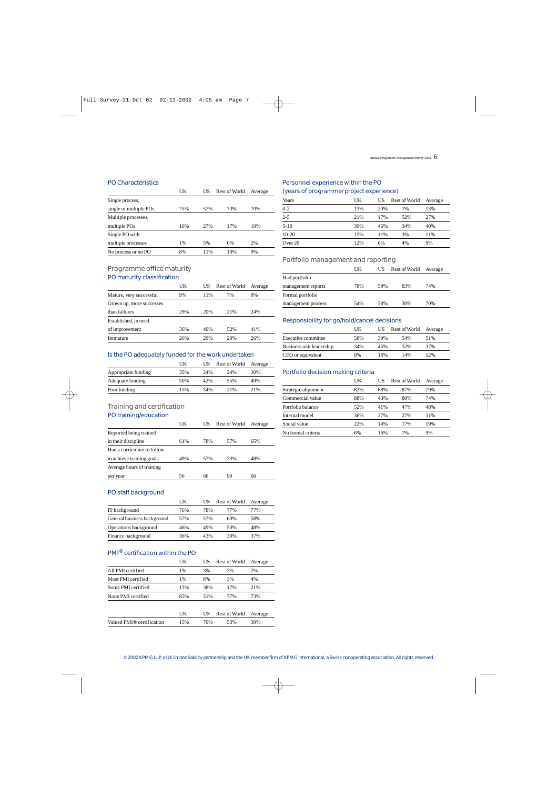#### PO Characteristics

|                        | UK  | US  | Rest of World | Average |
|------------------------|-----|-----|---------------|---------|
| Single process,        |     |     |               |         |
| single or multiple POs | 75% | 57% | 73%           | 70%     |
| Multiple processes,    |     |     |               |         |
| multiple POs           | 16% | 27% | 17%           | 19%     |
| Single PO with         |     |     |               |         |
| multiple processes     | 1%  | 5%  | 0%            | 2%      |
| No process or no PO    | 8%  | 11% | 10%           | 9%      |

## Programme office maturity PO maturity classification

|                          | UK  | US  | <b>Rest of World</b> | Average |
|--------------------------|-----|-----|----------------------|---------|
| Mature, very successful  | 9%  | 11% | 7%                   | 9%      |
| Grown up, more successes |     |     |                      |         |
| than failures            | 29% | 20% | 21%                  | 24%     |
| Established, in need     |     |     |                      |         |
| of improvement           | 36% | 40% | 52%                  | 41%     |
| Immature                 | 26% | 29% | 20%                  | 26%     |

## Is the PO adequately funded for the work undertaken

|                     | UK  | US  | Rest of World | Average |  |
|---------------------|-----|-----|---------------|---------|--|
| Appropriate funding | 35% | 24% | 24%           | 30%     |  |
| Adequate funding    | 50% | 42% | 55%           | 49%     |  |
| Poor funding        | 15% | 34% | 2.1%          | 2.1%    |  |

## Training and certification

PO training/education

|                            | UK  | US  | Rest of World | Average |
|----------------------------|-----|-----|---------------|---------|
| Reported being trained     |     |     |               |         |
| in their discipline        | 61% | 78% | 57%           | 65%     |
| Had a curriculum to follow |     |     |               |         |
| to achieve training goals  | 49% | 57% | 33%           | 48%     |
| Average hours of training  |     |     |               |         |
| per year                   | 56  | 66  | 90            | 66      |

#### PO staff background

|                             | UK  | US  | Rest of World | Average |
|-----------------------------|-----|-----|---------------|---------|
| IT background               | 76% | 78% | 77%           | 77%     |
| General business background | 57% | 57% | 60%           | 58%     |
| Operations background       | 46% | 49% | 50%           | 48%     |
| Finance background          | 36% | 43% | 30%           | 37%     |

## PMI® certification within the PO

| UK  | US  | <b>Rest of World</b> | Average |
|-----|-----|----------------------|---------|
| 1%  | 3%  | 3%                   | 2%      |
| 1%  | 8%  | 3%                   | 4%      |
| 13% | 38% | 17%                  | 21%     |
| 85% | 51% | 77%                  | 73%     |
|     |     |                      |         |
| UK  | US  | <b>Rest of World</b> | Average |
| 15% | 70% | 53%                  | 39%     |
|     |     |                      |         |

### Personnel experience within the PO (years of programme/ project experience)

| And the state of the state of the state of the state of the state of the state of the state of the state of the |     |     |               |         |
|-----------------------------------------------------------------------------------------------------------------|-----|-----|---------------|---------|
| Years                                                                                                           | UK  | US  | Rest of World | Average |
| $0 - 2$                                                                                                         | 13% | 20% | 7%            | 13%     |
| $2 - 5$                                                                                                         | 21% | 17% | 52%           | 27%     |
| $5-10$                                                                                                          | 39% | 46% | 34%           | 40%     |
| $10-20$                                                                                                         | 15% | 11% | 3%            | 11%     |
| Over 20                                                                                                         | 12% | 6%  | 4%            | 9%      |
|                                                                                                                 |     |     |               |         |

## Portfolio management and reporting

|                    | UK  | US  | Rest of World | Average |
|--------------------|-----|-----|---------------|---------|
| Had portfolio      |     |     |               |         |
| management reports | 78% | 59% | 83%           | 74%     |
| Formal portfolio   |     |     |               |         |
| management process | 54% | 38% | 30%           | 70%     |

## Responsibility for go/hold/cancel decisions

|                          | UK  | US  | Rest of World Average |     |
|--------------------------|-----|-----|-----------------------|-----|
| Executive committee      | 58% | 39% | 54%                   | 51% |
| Business unit leadership | 34% | 45% | 32%                   | 37% |
| CEO or equivalent        | 8%  | 16% | 14%                   | 12% |

#### Portfolio decision making criteria

|                     | UK  | US  | Rest of World | Average |
|---------------------|-----|-----|---------------|---------|
| Strategic alignment | 82% | 68% | 87%           | 79%     |
| Commercial value    | 88% | 43% | 80%           | 74%     |
| Portfolio balance   | 52% | 41% | 47%           | 48%     |
| Internal model      | 36% | 27% | 27%           | 31%     |
| Social value        | 22% | 14% | 17%           | 19%     |
| No formal criteria  | 6%  | 16% | 7%            | 9%      |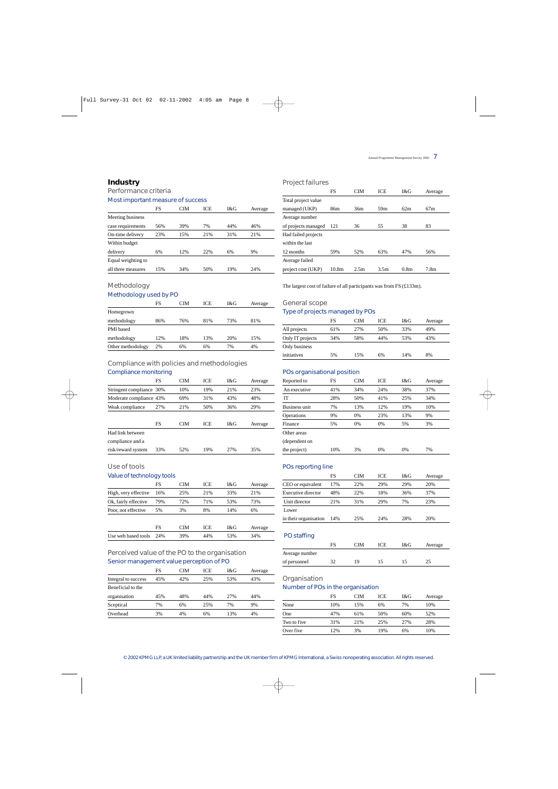## *Industry*

# Performance criteria

Most important measure of success

| Average    |
|------------|
|            |
| 46%<br>44% |
| 21%<br>31% |
|            |
| 9%         |
|            |
| 24%<br>19% |
|            |

## Methodology

## Methodology used by PO

|                   | FS  | CIM | ICE | I&G | Average |
|-------------------|-----|-----|-----|-----|---------|
| Homegrown         |     |     |     |     |         |
| methodology       | 86% | 76% | 81% | 73% | 81%     |
| <b>PMI</b> based  |     |     |     |     |         |
| methodology       | 12% | 18% | 13% | 20% | 15%     |
| Other methodology | 2%  | 6%  | 6%  | 7%  | 4%      |

# Compliance with policies and methodologies

## Compliance monitoring

|                          | FS        | <b>CIM</b> | <b>ICE</b> | I&G | Average |
|--------------------------|-----------|------------|------------|-----|---------|
| Stringent compliance 30% |           | 10%        | 19%        | 21% | 23%     |
| Moderate compliance 43%  |           | 69%        | 31%        | 43% | 48%     |
| Weak compliance          | 27%       | 21%        | 50%        | 36% | 29%     |
|                          |           |            |            |     |         |
|                          | <b>FS</b> | <b>CIM</b> | <b>ICE</b> | I&G | Average |
| Had link between         |           |            |            |     |         |
| compliance and a         |           |            |            |     |         |
| risk/reward system       | 33%       | 52%        | 19%        | 27% | 35%     |

## Use of tools

#### Value of technology tools

|                      | FS  | CIM | ICE | I&G | Average |
|----------------------|-----|-----|-----|-----|---------|
| High, very effective | 16% | 25% | 21% | 33% | 21%     |
| Ok, fairly effective | 79% | 72% | 71% | 53% | 73%     |
| Poor, not effective  | 5%  | 3%  | 8%  | 14% | 6%      |
|                      | FS  | CIM | ICE | I&G | Average |
| Use web based tools  | 24% | 39% | 44% | 53% | 34%     |

## Perceived value of the PO to the organisation Senior management value perception of PO

| FS  | CIM | ICE | I&G  | Average |
|-----|-----|-----|------|---------|
| 45% | 42% | 25% | 53%  | 43%     |
|     |     |     |      |         |
| 45% | 48% | 44% | 2.7% | 44%     |
| 7%  | 6%  | 25% | 7%   | 9%      |
| 3%  | 4%  | 6%  | 13%  | 4%      |
|     |     |     |      |         |

## Project failures

|                     | FS                | <b>CIM</b> | <b>ICE</b>       | 1 & G            | Average          |
|---------------------|-------------------|------------|------------------|------------------|------------------|
| Total project value |                   |            |                  |                  |                  |
| managed (UKP)       | 86 <sub>m</sub>   | 36m        | 59 <sub>m</sub>  | 62m              | 67m              |
| Average number      |                   |            |                  |                  |                  |
| of projects managed | 121               | 36         | 55               | 38               | 83               |
| Had failed projects |                   |            |                  |                  |                  |
| within the last     |                   |            |                  |                  |                  |
| 12 months           | 59%               | 52%        | 63%              | 47%              | 56%              |
| Average failed      |                   |            |                  |                  |                  |
| project cost (UKP)  | 10.8 <sub>m</sub> | 2.5m       | 3.5 <sub>m</sub> | 0.8 <sub>m</sub> | 7.8 <sub>m</sub> |

The largest cost of failure of all participants was from FS (£133m).

### General scope

## Type of projects managed by POs

|                  | FS  | CIM | ICE | I&G | Average |
|------------------|-----|-----|-----|-----|---------|
| All projects     | 61% | 27% | 50% | 33% | 49%     |
| Only IT projects | 34% | 58% | 44% | 53% | 43%     |
| Only business    |     |     |     |     |         |
| initiatives      | 5%  | 15% | 6%  | 14% | 8%      |

#### POs organisational position

| Reported to   | FS  | <b>CIM</b> | ICE | I&G | Average |
|---------------|-----|------------|-----|-----|---------|
| An executive  | 41% | 34%        | 24% | 38% | 37%     |
| <b>IT</b>     | 28% | 50%        | 41% | 25% | 34%     |
| Business unit | 7%  | 13%        | 12% | 19% | 10%     |
| Operations    | 9%  | 0%         | 23% | 13% | 9%      |
| Finance       | 5%  | 0%         | 0%  | 5%  | 3%      |
| Other areas   |     |            |     |     |         |
| (dependent on |     |            |     |     |         |
| the project)  | 10% | 3%         | 0%  | 0%  | 7%      |

### POs reporting line

|                       | FS  | CIM | <b>ICE</b> | I&G | Average |
|-----------------------|-----|-----|------------|-----|---------|
| CEO or equivalent     | 17% | 22% | 29%        | 29% | 20%     |
| Executive director    | 48% | 22% | 18%        | 36% | 37%     |
| Unit director         | 21% | 31% | 29%        | 7%  | 23%     |
| Lower                 |     |     |            |     |         |
| in their organisation | 14% | 25% | 24%        | 28% | 20%     |

## PO staffing

|                | FS | ~TM | ICE | I&G | Average |  |
|----------------|----|-----|-----|-----|---------|--|
| Average number |    |     |     |     |         |  |
| of personnel   |    | 10  |     |     |         |  |

#### **Organisation**

#### Number of POs in the organisation

|             | FS  | CIM | ICE | I&G | Average |
|-------------|-----|-----|-----|-----|---------|
| None        | 10% | 15% | 6%  | 7%  | 10%     |
| One         | 47% | 61% | 50% | 60% | 52%     |
| Two to five | 31% | 21% | 25% | 27% | 28%     |
| Over five   | 12% | 3%  | 19% | 6%  | 10%     |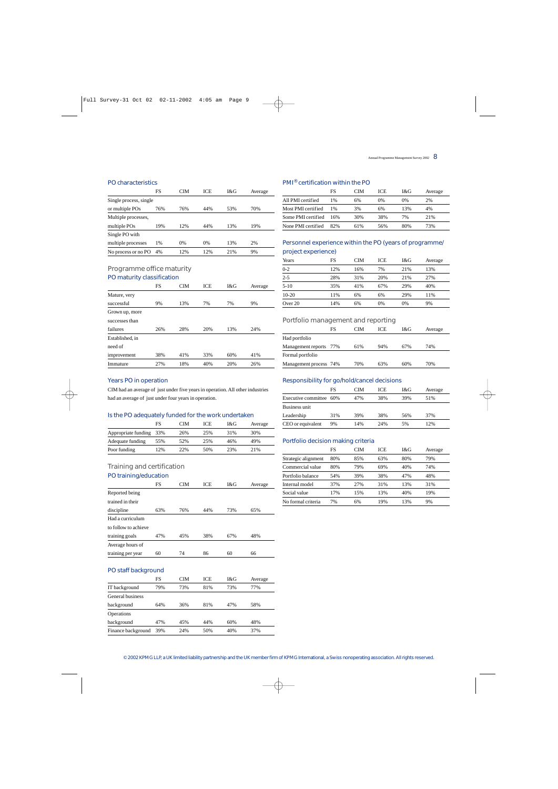#### PO characteristics

|                        | FS  | CIM | <b>ICE</b> | I&G | Average |
|------------------------|-----|-----|------------|-----|---------|
| Single process, single |     |     |            |     |         |
| or multiple POs        | 76% | 76% | 44%        | 53% | 70%     |
| Multiple processes,    |     |     |            |     |         |
| multiple POs           | 19% | 12% | 44%        | 13% | 19%     |
| Single PO with         |     |     |            |     |         |
| multiple processes     | 1%  | 0%  | 0%         | 13% | 2%      |
| No process or no PO    | 4%  | 12% | 12%        | 21% | 9%      |

## Programme office maturity PO maturity classification

|                 | FS  | <b>CIM</b> | <b>ICE</b> | 1 & G | Average |
|-----------------|-----|------------|------------|-------|---------|
| Mature, very    |     |            |            |       |         |
| successful      | 9%  | 13%        | 7%         | 7%    | 9%      |
| Grown up, more  |     |            |            |       |         |
| successes than  |     |            |            |       |         |
| failures        | 26% | 28%        | 20%        | 13%   | 24%     |
| Established, in |     |            |            |       |         |
| need of         |     |            |            |       |         |
| improvement     | 38% | 41%        | 33%        | 60%   | 41%     |
| Immature        | 27% | 18%        | 40%        | 20%   | 26%     |

## PMI® certification within the PO

|                    | FS  | CIM | ICE | I&G | Average |
|--------------------|-----|-----|-----|-----|---------|
| All PMI certified  | 1%  | 6%  | 0%  | 0%  | 2%      |
| Most PMI certified | 1%  | 3%  | 6%  | 13% | 4%      |
| Some PMI certified | 16% | 30% | 38% | 7%  | 21%     |
| None PMI certified | 82% | 61% | 56% | 80% | 73%     |

## Personnel experience within the PO (years of programme/ project experience)

| Years    | FS  | CIM | <b>ICE</b> | I&G | Average |
|----------|-----|-----|------------|-----|---------|
| $0 - 2$  | 12% | 16% | 7%         | 21% | 13%     |
| $2 - 5$  | 28% | 31% | 20%        | 21% | 27%     |
| $5 - 10$ | 35% | 41% | 67%        | 29% | 40%     |
| $10-20$  | 11% | 6%  | 6%         | 29% | 11%     |
| Over 20  | 14% | 6%  | 0%         | 0%  | 9%      |

### Portfolio management and reporting

|                        | FS | ™   | ICE | I&G | Average |
|------------------------|----|-----|-----|-----|---------|
| Had portfolio          |    |     |     |     |         |
| Management reports 77% |    | 61% | 94% | 67% | 74%     |
| Formal portfolio       |    |     |     |     |         |
| Management process 74% |    | 70% | 63% | 60% | 70%     |

## Years PO in operation

CIM had an average of just under five years in operation. All other industries had an average of just under four years in operation.

#### Is the PO adequately funded for the work undertaken

|                         | FS  | CIM | ICE | I&G | Average |
|-------------------------|-----|-----|-----|-----|---------|
| Appropriate funding 33% |     | 26% | 25% | 31% | 30%     |
| Adequate funding        | 55% | 52% | 25% | 46% | 49%     |
| Poor funding            | 12% | 22% | 50% | 23% | 21%     |

## Training and certification

## PO training/education

|                      | <b>FS</b> | <b>CIM</b> | ICE | I&G | Average |
|----------------------|-----------|------------|-----|-----|---------|
| Reported being       |           |            |     |     |         |
| trained in their     |           |            |     |     |         |
| discipline           | 63%       | 76%        | 44% | 73% | 65%     |
| Had a curriculum     |           |            |     |     |         |
| to follow to achieve |           |            |     |     |         |
| training goals       | 47%       | 45%        | 38% | 67% | 48%     |
| Average hours of     |           |            |     |     |         |
| training per year    | 60        | 74         | 86  | 60  | 66      |
| PO staff background  |           |            |     |     |         |
|                      | FS        | <b>CIM</b> | ICE | I&G | Average |
| IT background        | 79%       | 73%        | 81% | 73% | 77%     |
| General business     |           |            |     |     |         |
| background           | 64%       | 36%        | 81% | 47% | 58%     |
| Operations           |           |            |     |     |         |
| background           | 47%       | 45%        | 44% | 60% | 48%     |
| Finance background   | 39%       | 24%        | 50% | 40% | 37%     |

#### Responsibility for go/hold/cancel decisions

|                         | FS  | CIM | ICE | I&G | Average |
|-------------------------|-----|-----|-----|-----|---------|
| Executive committee 60% |     | 47% | 38% | 39% | 51%     |
| Business unit           |     |     |     |     |         |
| Leadership              | 31% | 39% | 38% | 56% | 37%     |
| CEO or equivalent       | 9%  | 14% | 24% | 5%  | 12%     |

#### Portfolio decision making criteria

|                     | FS  | CIM | ICE | I&G | Average |
|---------------------|-----|-----|-----|-----|---------|
| Strategic alignment | 80% | 85% | 63% | 80% | 79%     |
| Commercial value    | 80% | 79% | 69% | 40% | 74%     |
| Portfolio balance   | 54% | 39% | 38% | 47% | 48%     |
| Internal model      | 37% | 27% | 31% | 13% | 31%     |
| Social value        | 17% | 15% | 13% | 40% | 19%     |
| No formal criteria  | 7%  | 6%  | 19% | 13% | 9%      |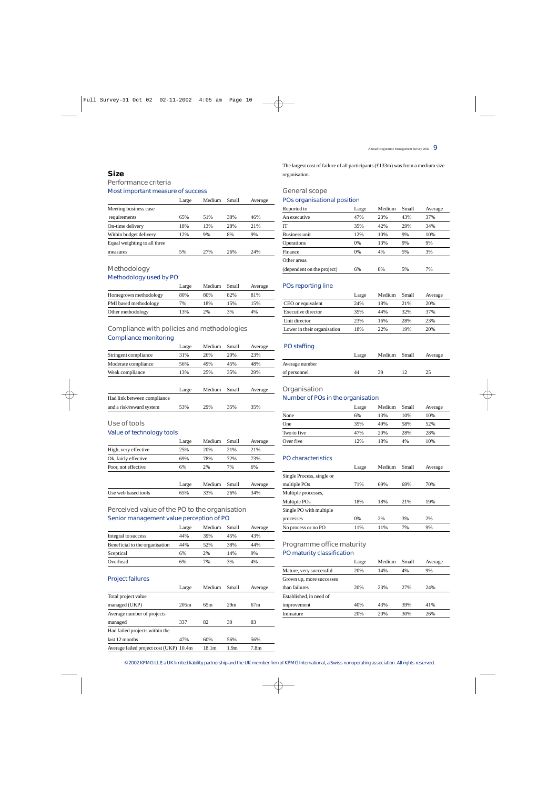## *Size*

Performance criteria Most important measure of success

|                              | Large | Medium | Small | Average |
|------------------------------|-------|--------|-------|---------|
| Meeting business case        |       |        |       |         |
| requirements                 | 65%   | 51%    | 38%   | 46%     |
| On-time delivery             | 18%   | 13%    | 28%   | 21%     |
| Within budget delivery       | 12%   | 9%     | 8%    | 9%      |
| Equal weighting to all three |       |        |       |         |
| measures                     | 5%    | 2.7%   | 26%   | 24%     |
|                              |       |        |       |         |

## Methodology Methodology used by PO

|                       | Large | Medium | Small | Average |
|-----------------------|-------|--------|-------|---------|
| Homegrown methodology | 80%   | 80%    | 82%   | 81%     |
| PMI based methodology | 7%    | 18%    | 15%   | 15%     |
| Other methodology     | 13%   | 2%     | 3%    | 4%      |

## Compliance with policies and methodologies Compliance monitoring

|                             | Large | Medium | Small | Average |
|-----------------------------|-------|--------|-------|---------|
| Stringent compliance        | 31%   | 26%    | 20%   | 23%     |
| Moderate compliance         | 56%   | 49%    | 45%   | 48%     |
| Weak compliance             | 13%   | 25%    | 35%   | 29%     |
|                             |       |        |       |         |
|                             | Large | Medium | Small | Average |
| Had link between compliance |       |        |       |         |
| and a risk/reward system    | 53%   | 29%    | 35%   | 35%     |
|                             |       |        |       |         |

## Use of tools

## Value of technology tools

|                      | Large | Medium | Small | Average |
|----------------------|-------|--------|-------|---------|
| High, very effective | 25%   | 20%    | 21%   | 21%     |
| Ok, fairly effective | 69%   | 78%    | 72%   | 73%     |
| Poor, not effective  | 6%    | 2%     | 7%    | 6%      |
|                      | Large | Medium | Small | Average |
| Use web based tools  | 65%   | 33%    | 26%   | 34%     |

## Perceived value of the PO to the organisation Senior management value perception of PO

|                                | Large | Medium | Small | Average |
|--------------------------------|-------|--------|-------|---------|
| Integral to success            | 44%   | 39%    | 45%   | 43%     |
| Beneficial to the organisation | 44%   | 52%    | 38%   | 44%     |
| Sceptical                      | 6%    | 2%     | 14%   | 9%      |
| Overhead                       | 6%    | 7%     | 3%    | 4%      |

### Project failures

|                                         | Large | Medium | Small            | Average          |
|-----------------------------------------|-------|--------|------------------|------------------|
| Total project value                     |       |        |                  |                  |
| managed (UKP)                           | 205m  | 65m    | 29m              | 67m              |
| Average number of projects              |       |        |                  |                  |
| managed                                 | 337   | 82     | 30               | 83               |
| Had failed projects within the          |       |        |                  |                  |
| last 12 months                          | 47%   | 60%    | 56%              | 56%              |
| Average failed project cost (UKP) 10.4m |       | 18.1m  | 1.9 <sub>m</sub> | 7.8 <sub>m</sub> |

The largest cost of failure of all participants (£133m) was from a medium size organisation.

## General scope

## POs organisational position

| Reported to                | Large | Medium | Small | Average |
|----------------------------|-------|--------|-------|---------|
| An executive               | 47%   | 23%    | 43%   | 37%     |
| <b>IT</b>                  | 35%   | 42%    | 29%   | 34%     |
| Business unit              | 12%   | 10%    | 9%    | 10%     |
| Operations                 | 0%    | 13%    | 9%    | 9%      |
| Finance                    | 0%    | 4%     | 5%    | 3%      |
| Other areas                |       |        |       |         |
| (dependent on the project) | 6%    | 8%     | 5%    | 7%      |

#### POs reporting line

|                             | Large | Medium | Small | Average |
|-----------------------------|-------|--------|-------|---------|
| CEO or equivalent           | 24%   | 18%    | 2.1%  | 20%     |
| Executive director          | 35%   | 44%    | 32%   | 37%     |
| Unit director               | 23%   | 16%    | 2.8%  | 23%     |
| Lower in their organisation | 18%   | 22%    | 19%   | 20%     |

#### PO staffing

|                | Large | Medium Small | Average |
|----------------|-------|--------------|---------|
| Average number |       |              |         |
| of personnel   | 44    | 39           |         |

### Organisation

#### Number of POs in the organisation

|             | Large | Medium | Small | Average |
|-------------|-------|--------|-------|---------|
| None        | 6%    | 13%    | 10%   | 10%     |
| One         | 35%   | 49%    | 58%   | 52%     |
| Two to five | 47%   | 20%    | 28%   | 28%     |
| Over five   | 12%   | 18%    | 4%    | 10%     |

### PO characteristics

|                           | Large | Medium | Small | Average |
|---------------------------|-------|--------|-------|---------|
| Single Process, single or |       |        |       |         |
| multiple POs              | 71%   | 69%    | 69%   | 70%     |
| Multiple processes,       |       |        |       |         |
| Multiple POs              | 18%   | 18%    | 21%   | 19%     |
| Single PO with multiple   |       |        |       |         |
| processes                 | 0%    | 2%     | 3%    | 2%      |
| No process or no PO       | 11%   | 11%    | 7%    | 9%      |

## Programme office maturity PO maturity classification

|                          | Large | Medium | Small | Average |
|--------------------------|-------|--------|-------|---------|
| Mature, very successful  | 20%   | 14%    | 4%    | 9%      |
| Grown up, more successes |       |        |       |         |
| than failures            | 20%   | 23%    | 2.7%  | 24%     |
| Established, in need of  |       |        |       |         |
| improvement              | 40%   | 43%    | 39%   | 41%     |
| Immature                 | 20%   | 20%    | 30%   | 26%     |
|                          |       |        |       |         |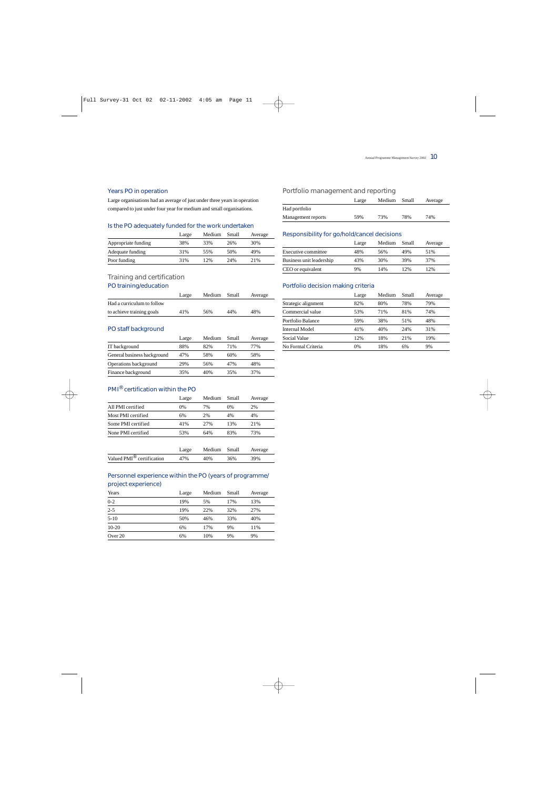## Years PO in operation

Large organisations had an average of just under three years in operation compared to just under four year for medium and small organisations.

#### Is the PO adequately funded for the work undertaken

|                     | Large | Medium | Small | Average |
|---------------------|-------|--------|-------|---------|
| Appropriate funding | 38%   | 33%    | 26%   | 30%     |
| Adequate funding    | 31%   | 55%    | 50%   | 49%     |
| Poor funding        | 31%   | 12%    | 24%   | 21%     |
|                     |       |        |       |         |

## Training and certification

## PO training/education

|                            | Large | Medium Small |     | Average |
|----------------------------|-------|--------------|-----|---------|
| Had a curriculum to follow |       |              |     |         |
| to achieve training goals  | 41%   | 56%          | 44% | 48%     |

## PO staff background

|                             | Large | Medium | Small | Average |
|-----------------------------|-------|--------|-------|---------|
| IT background               | 88%   | 82%    | 71%   | 77%     |
| General business background | 47%   | 58%    | 60%   | 58%     |
| Operations background       | 29%   | 56%    | 47%   | 48%     |
| Finance background          | 35%   | 40%    | 35%   | 37%     |

## PMI® certification within the PO

|                    | Large | Medium | Small | Average |
|--------------------|-------|--------|-------|---------|
| All PMI certified  | $0\%$ | 7%     | 0%    | 2%      |
| Most PMI certified | 6%    | 2%     | 4%    | 4%      |
| Some PMI certified | 41%   | 2.7%   | 13%   | 2.1%    |
| None PMI certified | 53%   | 64%    | 83%   | 73%     |
|                    |       |        |       |         |

|                                       | Large | Medium Small |     | Average |
|---------------------------------------|-------|--------------|-----|---------|
| Valued PMI <sup>®</sup> certification | 47%   | 40%          | 36% | 39%     |

## Personnel experience within the PO (years of programme/ project experience)

| Years    | Large | Medium | Small | Average |
|----------|-------|--------|-------|---------|
| $0 - 2$  | 19%   | 5%     | 17%   | 13%     |
| $2 - 5$  | 19%   | 22%    | 32%   | 27%     |
| $5 - 10$ | 50%   | 46%    | 33%   | 40%     |
| $10-20$  | 6%    | 17%    | 9%    | 11%     |
| Over 20  | 6%    | 10%    | 9%    | 9%      |
|          |       |        |       |         |

## Portfolio management and reporting

|                    | Large | Medium Small |     | Average |
|--------------------|-------|--------------|-----|---------|
| Had portfolio      |       |              |     |         |
| Management reports | 59%   | 73%          | 78% | 74%     |

#### Responsibility for go/hold/cancel decisions

|                          | Large | Medium | Small | Average |
|--------------------------|-------|--------|-------|---------|
| Executive committee      | 48%   | 56%    | 49%   | 51%     |
| Business unit leadership | 43%   | 30%    | 39%   | 37%     |
| CEO or equivalent        | 9%    | 14%    | 12%   | 12%     |

## Portfolio decision making criteria

|                     | Large | Medium | Small | Average |
|---------------------|-------|--------|-------|---------|
| Strategic alignment | 82%   | 80%    | 78%   | 79%     |
| Commercial value    | 53%   | 71%    | 81%   | 74%     |
| Portfolio Balance   | 59%   | 38%    | 51%   | 48%     |
| Internal Model      | 41%   | 40%    | 24%   | 31%     |
| Social Value        | 12%   | 18%    | 21%   | 19%     |
| No Formal Criteria  | $0\%$ | 18%    | 6%    | 9%      |